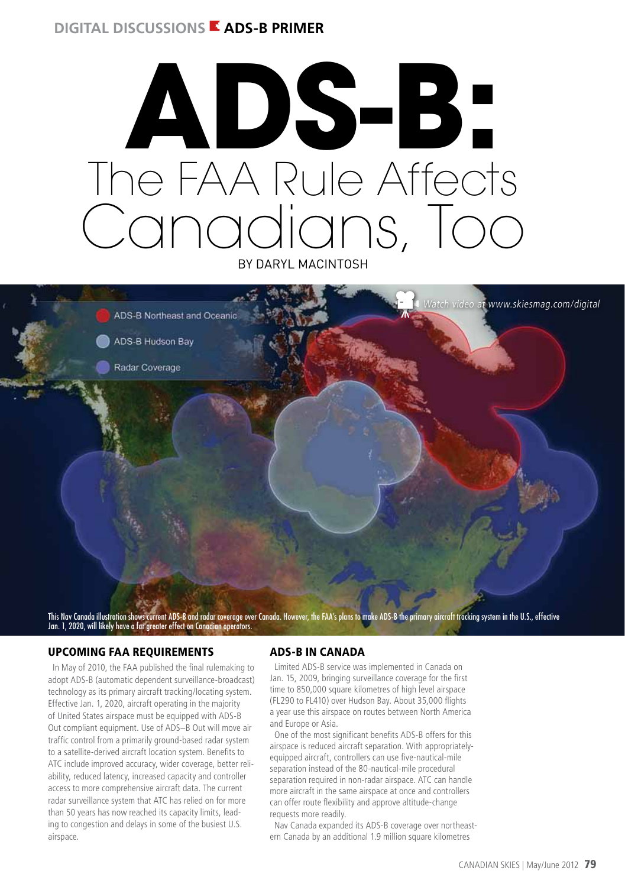## **DIGITAL DISCUSSIONS E ADS-B PRIMER**

# The FAA Rule Affects Canadians, Too by Daryl MacIntosh **ADS-B:**



This Nav Canada illustration shows current ADS-B and radar coverage over Canada. However, the FAA's plans to make ADS-B the primary aircraft tracking system in the U.S., effective Jan. 1, 2020, will likely have a far greater effect on Canadian operators.

#### Upcoming FAA Requirements

In May of 2010, the FAA published the final rulemaking to adopt ADS-B (automatic dependent surveillance-broadcast) technology as its primary aircraft tracking/locating system. Effective Jan. 1, 2020, aircraft operating in the majority of United States airspace must be equipped with ADS-B Out compliant equipment. Use of ADS–B Out will move air traffic control from a primarily ground-based radar system to a satellite-derived aircraft location system. Benefits to ATC include improved accuracy, wider coverage, better reliability, reduced latency, increased capacity and controller access to more comprehensive aircraft data. The current radar surveillance system that ATC has relied on for more than 50 years has now reached its capacity limits, leading to congestion and delays in some of the busiest U.S. airspace.

#### ADS-B in Canada

Limited ADS-B service was implemented in Canada on Jan. 15, 2009, bringing surveillance coverage for the first time to 850,000 square kilometres of high level airspace (FL290 to FL410) over Hudson Bay. About 35,000 flights a year use this airspace on routes between North America and Europe or Asia.

One of the most significant benefits ADS-B offers for this airspace is reduced aircraft separation. With appropriatelyequipped aircraft, controllers can use five-nautical-mile separation instead of the 80-nautical-mile procedural separation required in non-radar airspace. ATC can handle more aircraft in the same airspace at once and controllers can offer route flexibility and approve altitude-change requests more readily.

Nav Canada expanded its ADS-B coverage over northeastern Canada by an additional 1.9 million square kilometres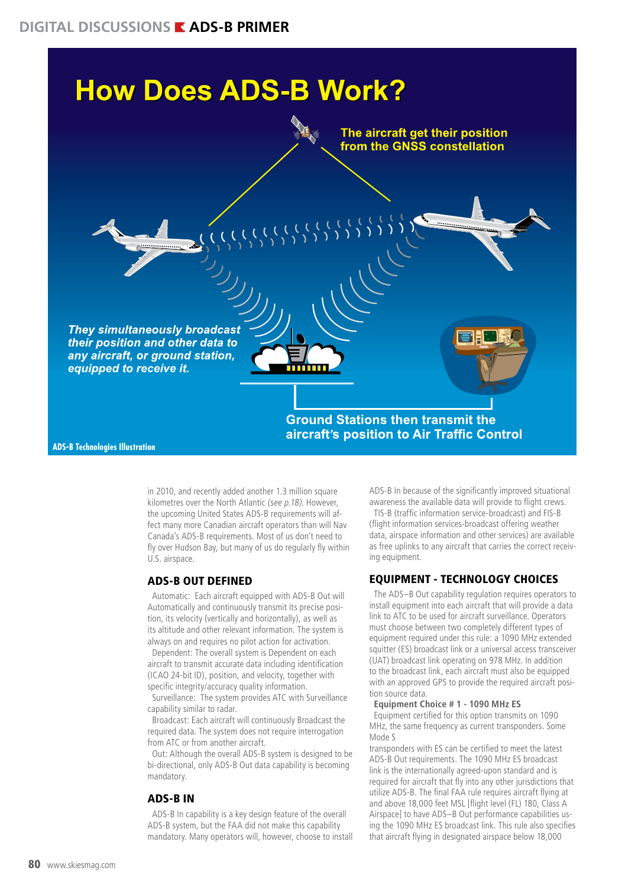

**ADS-B Technologies Illustration**

in 2010, and recently added another 1.3 million square kilometres over the North Atlantic (see p.18). However, the upcoming United States ADS-B requirements will affect many more Canadian aircraft operators than will Nav Canada's ADS-B requirements. Most of us don't need to fly over Hudson Bay, but many of us do regularly fly within U.S. airspace.

#### ADS-B Out Defined

Automatic: Each aircraft equipped with ADS-B Out will Automatically and continuously transmit its precise position, its velocity (vertically and horizontally), as well as its altitude and other relevant information. The system is always on and requires no pilot action for activation.

Dependent: The overall system is Dependent on each aircraft to transmit accurate data including identification (ICAO 24-bit ID), position, and velocity, together with specific integrity/accuracy quality information.

Surveillance: The system provides ATC with Surveillance capability similar to radar.

Broadcast: Each aircraft will continuously Broadcast the required data. The system does not require interrogation from ATC or from another aircraft.

Out: Although the overall ADS-B system is designed to be bi-directional, only ADS-B Out data capability is becoming mandatory.

#### ADS-B In

ADS-B In capability is a key design feature of the overall ADS-B system, but the FAA did not make this capability mandatory. Many operators will, however, choose to install ADS-B In because of the significantly improved situational awareness the available data will provide to flight crews. TIS-B (traffic information service-broadcast) and FIS-B (flight information services-broadcast offering weather data, airspace information and other services) are available as free uplinks to any aircraft that carries the correct receiving equipment.

## Equipment - Technology Choices

The ADS–B Out capability regulation requires operators to install equipment into each aircraft that will provide a data link to ATC to be used for aircraft surveillance. Operators must choose between two completely different types of equipment required under this rule: a 1090 MHz extended squitter (ES) broadcast link or a universal access transceiver (UAT) broadcast link operating on 978 MHz. In addition to the broadcast link, each aircraft must also be equipped with an approved GPS to provide the required aircraft position source data.

#### **Equipment Choice # 1 - 1090 MHz ES**

Equipment certified for this option transmits on 1090 MHz, the same frequency as current transponders. Some Mode S

transponders with ES can be certified to meet the latest ADS-B Out requirements. The 1090 MHz ES broadcast link is the internationally agreed-upon standard and is required for aircraft that fly into any other jurisdictions that utilize ADS-B. The final FAA rule requires aircraft flying at and above 18,000 feet MSL [flight level (FL) 180, Class A Airspace] to have ADS–B Out performance capabilities using the 1090 MHz ES broadcast link. This rule also specifies that aircraft flying in designated airspace below 18,000